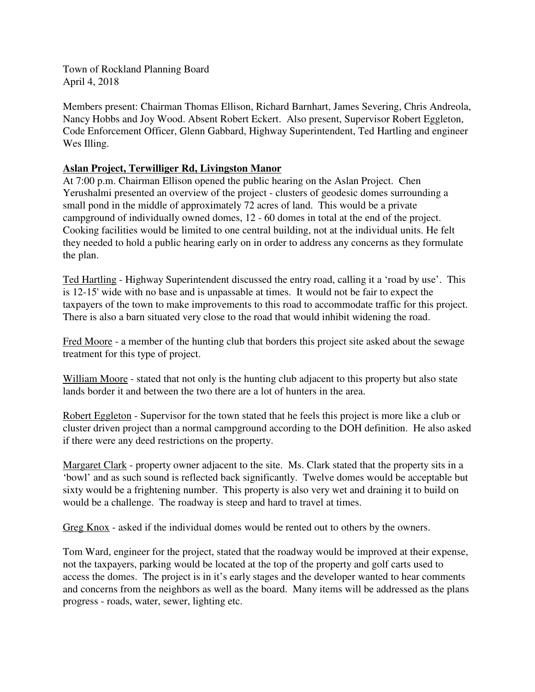Town of Rockland Planning Board April 4, 2018

Members present: Chairman Thomas Ellison, Richard Barnhart, James Severing, Chris Andreola, Nancy Hobbs and Joy Wood. Absent Robert Eckert. Also present, Supervisor Robert Eggleton, Code Enforcement Officer, Glenn Gabbard, Highway Superintendent, Ted Hartling and engineer Wes Illing.

## **Aslan Project, Terwilliger Rd, Livingston Manor**

At 7:00 p.m. Chairman Ellison opened the public hearing on the Aslan Project. Chen Yerushalmi presented an overview of the project - clusters of geodesic domes surrounding a small pond in the middle of approximately 72 acres of land. This would be a private campground of individually owned domes, 12 - 60 domes in total at the end of the project. Cooking facilities would be limited to one central building, not at the individual units. He felt they needed to hold a public hearing early on in order to address any concerns as they formulate the plan.

Ted Hartling - Highway Superintendent discussed the entry road, calling it a 'road by use'. This is 12-15' wide with no base and is unpassable at times. It would not be fair to expect the taxpayers of the town to make improvements to this road to accommodate traffic for this project. There is also a barn situated very close to the road that would inhibit widening the road.

Fred Moore - a member of the hunting club that borders this project site asked about the sewage treatment for this type of project.

William Moore - stated that not only is the hunting club adjacent to this property but also state lands border it and between the two there are a lot of hunters in the area.

Robert Eggleton - Supervisor for the town stated that he feels this project is more like a club or cluster driven project than a normal campground according to the DOH definition. He also asked if there were any deed restrictions on the property.

Margaret Clark - property owner adjacent to the site. Ms. Clark stated that the property sits in a 'bowl' and as such sound is reflected back significantly. Twelve domes would be acceptable but sixty would be a frightening number. This property is also very wet and draining it to build on would be a challenge. The roadway is steep and hard to travel at times.

Greg Knox - asked if the individual domes would be rented out to others by the owners.

Tom Ward, engineer for the project, stated that the roadway would be improved at their expense, not the taxpayers, parking would be located at the top of the property and golf carts used to access the domes. The project is in it's early stages and the developer wanted to hear comments and concerns from the neighbors as well as the board. Many items will be addressed as the plans progress - roads, water, sewer, lighting etc.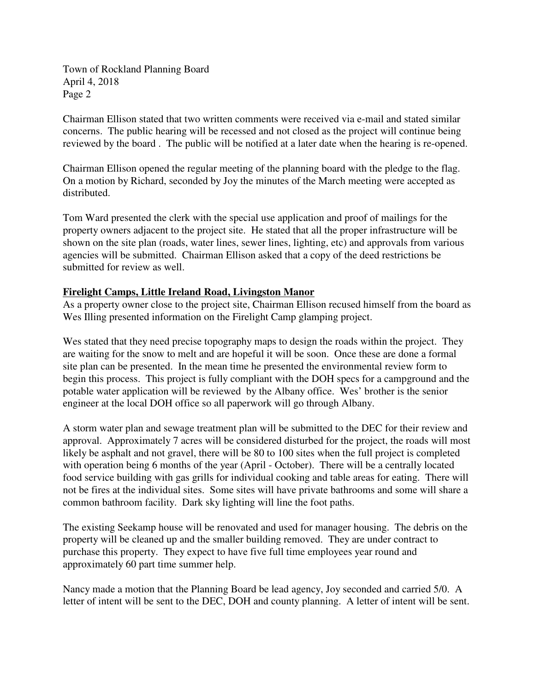Town of Rockland Planning Board April 4, 2018 Page 2

Chairman Ellison stated that two written comments were received via e-mail and stated similar concerns. The public hearing will be recessed and not closed as the project will continue being reviewed by the board . The public will be notified at a later date when the hearing is re-opened.

Chairman Ellison opened the regular meeting of the planning board with the pledge to the flag. On a motion by Richard, seconded by Joy the minutes of the March meeting were accepted as distributed.

Tom Ward presented the clerk with the special use application and proof of mailings for the property owners adjacent to the project site. He stated that all the proper infrastructure will be shown on the site plan (roads, water lines, sewer lines, lighting, etc) and approvals from various agencies will be submitted. Chairman Ellison asked that a copy of the deed restrictions be submitted for review as well.

## **Firelight Camps, Little Ireland Road, Livingston Manor**

As a property owner close to the project site, Chairman Ellison recused himself from the board as Wes Illing presented information on the Firelight Camp glamping project.

Wes stated that they need precise topography maps to design the roads within the project. They are waiting for the snow to melt and are hopeful it will be soon. Once these are done a formal site plan can be presented. In the mean time he presented the environmental review form to begin this process. This project is fully compliant with the DOH specs for a campground and the potable water application will be reviewed by the Albany office. Wes' brother is the senior engineer at the local DOH office so all paperwork will go through Albany.

A storm water plan and sewage treatment plan will be submitted to the DEC for their review and approval. Approximately 7 acres will be considered disturbed for the project, the roads will most likely be asphalt and not gravel, there will be 80 to 100 sites when the full project is completed with operation being 6 months of the year (April - October). There will be a centrally located food service building with gas grills for individual cooking and table areas for eating. There will not be fires at the individual sites. Some sites will have private bathrooms and some will share a common bathroom facility. Dark sky lighting will line the foot paths.

The existing Seekamp house will be renovated and used for manager housing. The debris on the property will be cleaned up and the smaller building removed. They are under contract to purchase this property. They expect to have five full time employees year round and approximately 60 part time summer help.

Nancy made a motion that the Planning Board be lead agency, Joy seconded and carried 5/0. A letter of intent will be sent to the DEC, DOH and county planning. A letter of intent will be sent.